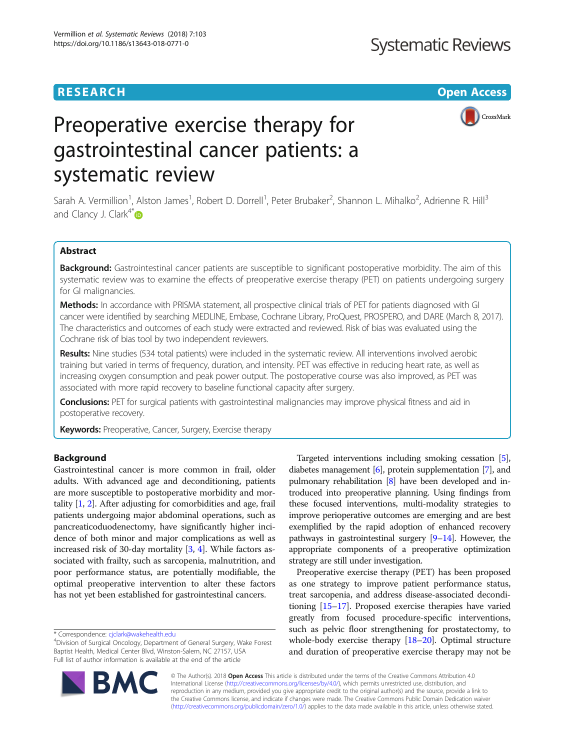# **RESEARCH CHINESE ARCH CHINESE ARCH CHINESE ARCH <b>CHINESE ARCH CHINESE ARCH CHINESE ARCH <b>CHINESE** ARCH **CHINESE ARCH** CHINESE ARCH **CHINESE ARCH** CHINESE ARCH **CHINESE ARCH 2014**

CrossMark

# Preoperative exercise therapy for gastrointestinal cancer patients: a systematic review

Sarah A. Vermillion<sup>1</sup>, Alston James<sup>1</sup>, Robert D. Dorrell<sup>1</sup>, Peter Brubaker<sup>2</sup>, Shannon L. Mihalko<sup>2</sup>, Adrienne R. Hill<sup>3</sup> and Clancy J. Clark $4^*$ 

# Abstract

Background: Gastrointestinal cancer patients are susceptible to significant postoperative morbidity. The aim of this systematic review was to examine the effects of preoperative exercise therapy (PET) on patients undergoing surgery for GI malignancies.

Methods: In accordance with PRISMA statement, all prospective clinical trials of PET for patients diagnosed with GI cancer were identified by searching MEDLINE, Embase, Cochrane Library, ProQuest, PROSPERO, and DARE (March 8, 2017). The characteristics and outcomes of each study were extracted and reviewed. Risk of bias was evaluated using the Cochrane risk of bias tool by two independent reviewers.

Results: Nine studies (534 total patients) were included in the systematic review. All interventions involved aerobic training but varied in terms of frequency, duration, and intensity. PET was effective in reducing heart rate, as well as increasing oxygen consumption and peak power output. The postoperative course was also improved, as PET was associated with more rapid recovery to baseline functional capacity after surgery.

Conclusions: PET for surgical patients with gastrointestinal malignancies may improve physical fitness and aid in postoperative recovery.

Keywords: Preoperative, Cancer, Surgery, Exercise therapy

# Background

Gastrointestinal cancer is more common in frail, older adults. With advanced age and deconditioning, patients are more susceptible to postoperative morbidity and mortality [\[1](#page-8-0), [2\]](#page-8-0). After adjusting for comorbidities and age, frail patients undergoing major abdominal operations, such as pancreaticoduodenectomy, have significantly higher incidence of both minor and major complications as well as increased risk of 30-day mortality [\[3](#page-8-0), [4](#page-8-0)]. While factors associated with frailty, such as sarcopenia, malnutrition, and poor performance status, are potentially modifiable, the optimal preoperative intervention to alter these factors has not yet been established for gastrointestinal cancers.

\* Correspondence: [cjclark@wakehealth.edu](mailto:cjclark@wakehealth.edu) <sup>4</sup>

**BM** 

Targeted interventions including smoking cessation [[5](#page-8-0)], diabetes management [\[6\]](#page-8-0), protein supplementation [\[7](#page-8-0)], and pulmonary rehabilitation [\[8\]](#page-8-0) have been developed and introduced into preoperative planning. Using findings from these focused interventions, multi-modality strategies to improve perioperative outcomes are emerging and are best exemplified by the rapid adoption of enhanced recovery pathways in gastrointestinal surgery [\[9](#page-8-0)–[14](#page-8-0)]. However, the appropriate components of a preoperative optimization strategy are still under investigation.

Preoperative exercise therapy (PET) has been proposed as one strategy to improve patient performance status, treat sarcopenia, and address disease-associated deconditioning [\[15](#page-8-0)–[17](#page-8-0)]. Proposed exercise therapies have varied greatly from focused procedure-specific interventions, such as pelvic floor strengthening for prostatectomy, to whole-body exercise therapy [[18](#page-8-0)–[20](#page-8-0)]. Optimal structure and duration of preoperative exercise therapy may not be



Division of Surgical Oncology, Department of General Surgery, Wake Forest Baptist Health, Medical Center Blvd, Winston-Salem, NC 27157, USA Full list of author information is available at the end of the article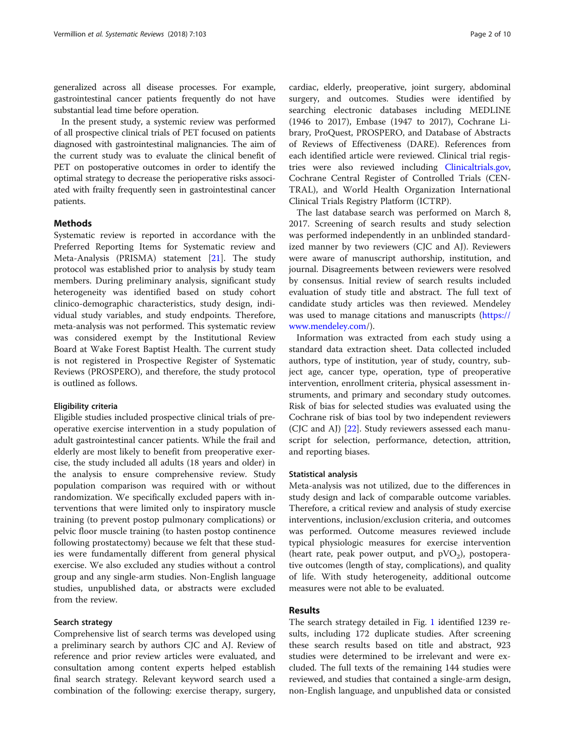generalized across all disease processes. For example, gastrointestinal cancer patients frequently do not have substantial lead time before operation.

In the present study, a systemic review was performed of all prospective clinical trials of PET focused on patients diagnosed with gastrointestinal malignancies. The aim of the current study was to evaluate the clinical benefit of PET on postoperative outcomes in order to identify the optimal strategy to decrease the perioperative risks associated with frailty frequently seen in gastrointestinal cancer patients.

# Methods

Systematic review is reported in accordance with the Preferred Reporting Items for Systematic review and Meta-Analysis (PRISMA) statement [[21\]](#page-8-0). The study protocol was established prior to analysis by study team members. During preliminary analysis, significant study heterogeneity was identified based on study cohort clinico-demographic characteristics, study design, individual study variables, and study endpoints. Therefore, meta-analysis was not performed. This systematic review was considered exempt by the Institutional Review Board at Wake Forest Baptist Health. The current study is not registered in Prospective Register of Systematic Reviews (PROSPERO), and therefore, the study protocol is outlined as follows.

# Eligibility criteria

Eligible studies included prospective clinical trials of preoperative exercise intervention in a study population of adult gastrointestinal cancer patients. While the frail and elderly are most likely to benefit from preoperative exercise, the study included all adults (18 years and older) in the analysis to ensure comprehensive review. Study population comparison was required with or without randomization. We specifically excluded papers with interventions that were limited only to inspiratory muscle training (to prevent postop pulmonary complications) or pelvic floor muscle training (to hasten postop continence following prostatectomy) because we felt that these studies were fundamentally different from general physical exercise. We also excluded any studies without a control group and any single-arm studies. Non-English language studies, unpublished data, or abstracts were excluded from the review.

## Search strategy

Comprehensive list of search terms was developed using a preliminary search by authors CJC and AJ. Review of reference and prior review articles were evaluated, and consultation among content experts helped establish final search strategy. Relevant keyword search used a combination of the following: exercise therapy, surgery,

cardiac, elderly, preoperative, joint surgery, abdominal surgery, and outcomes. Studies were identified by searching electronic databases including MEDLINE (1946 to 2017), Embase (1947 to 2017), Cochrane Library, ProQuest, PROSPERO, and Database of Abstracts of Reviews of Effectiveness (DARE). References from each identified article were reviewed. Clinical trial registries were also reviewed including [Clinicaltrials.gov,](http://clinicaltrials.gov) Cochrane Central Register of Controlled Trials (CEN-TRAL), and World Health Organization International Clinical Trials Registry Platform (ICTRP).

The last database search was performed on March 8, 2017. Screening of search results and study selection was performed independently in an unblinded standardized manner by two reviewers (CJC and AJ). Reviewers were aware of manuscript authorship, institution, and journal. Disagreements between reviewers were resolved by consensus. Initial review of search results included evaluation of study title and abstract. The full text of candidate study articles was then reviewed. Mendeley was used to manage citations and manuscripts [\(https://](https://www.mendeley.com) [www.mendeley.com](https://www.mendeley.com)/).

Information was extracted from each study using a standard data extraction sheet. Data collected included authors, type of institution, year of study, country, subject age, cancer type, operation, type of preoperative intervention, enrollment criteria, physical assessment instruments, and primary and secondary study outcomes. Risk of bias for selected studies was evaluated using the Cochrane risk of bias tool by two independent reviewers (CJC and AJ) [\[22\]](#page-9-0). Study reviewers assessed each manuscript for selection, performance, detection, attrition, and reporting biases.

#### Statistical analysis

Meta-analysis was not utilized, due to the differences in study design and lack of comparable outcome variables. Therefore, a critical review and analysis of study exercise interventions, inclusion/exclusion criteria, and outcomes was performed. Outcome measures reviewed include typical physiologic measures for exercise intervention (heart rate, peak power output, and  $pVO<sub>2</sub>$ ), postoperative outcomes (length of stay, complications), and quality of life. With study heterogeneity, additional outcome measures were not able to be evaluated.

# Results

The search strategy detailed in Fig. [1](#page-2-0) identified 1239 results, including 172 duplicate studies. After screening these search results based on title and abstract, 923 studies were determined to be irrelevant and were excluded. The full texts of the remaining 144 studies were reviewed, and studies that contained a single-arm design, non-English language, and unpublished data or consisted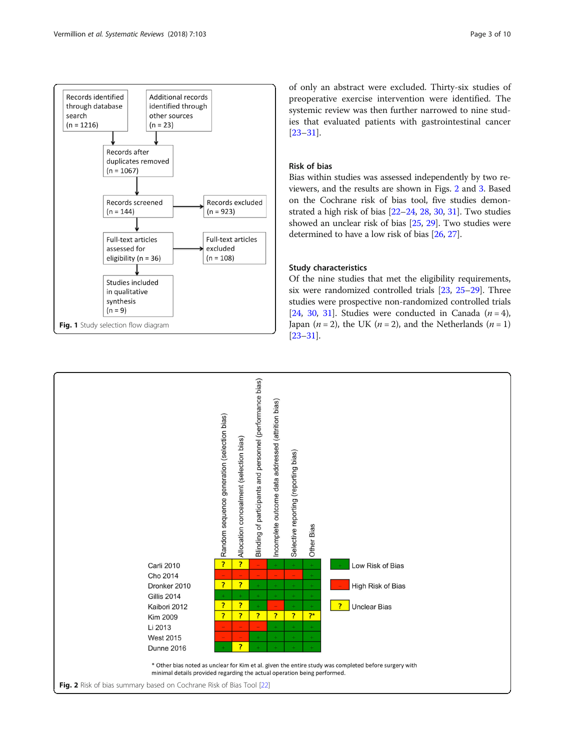<span id="page-2-0"></span>

of only an abstract were excluded. Thirty-six studies of preoperative exercise intervention were identified. The systemic review was then further narrowed to nine studies that evaluated patients with gastrointestinal cancer [[23](#page-9-0)–[31](#page-9-0)].

# Risk of bias

Bias within studies was assessed independently by two reviewers, and the results are shown in Figs. 2 and [3.](#page-3-0) Based on the Cochrane risk of bias tool, five studies demonstrated a high risk of bias [[22](#page-9-0)–[24,](#page-9-0) [28](#page-9-0), [30](#page-9-0), [31\]](#page-9-0). Two studies showed an unclear risk of bias [\[25](#page-9-0), [29\]](#page-9-0). Two studies were determined to have a low risk of bias [[26](#page-9-0), [27\]](#page-9-0).

# Study characteristics

Of the nine studies that met the eligibility requirements, six were randomized controlled trials [\[23,](#page-9-0) [25](#page-9-0)–[29\]](#page-9-0). Three studies were prospective non-randomized controlled trials [[24](#page-9-0), [30,](#page-9-0) [31](#page-9-0)]. Studies were conducted in Canada  $(n = 4)$ , Japan ( $n = 2$ ), the UK ( $n = 2$ ), and the Netherlands ( $n = 1$ ) [[23](#page-9-0)–[31\]](#page-9-0).

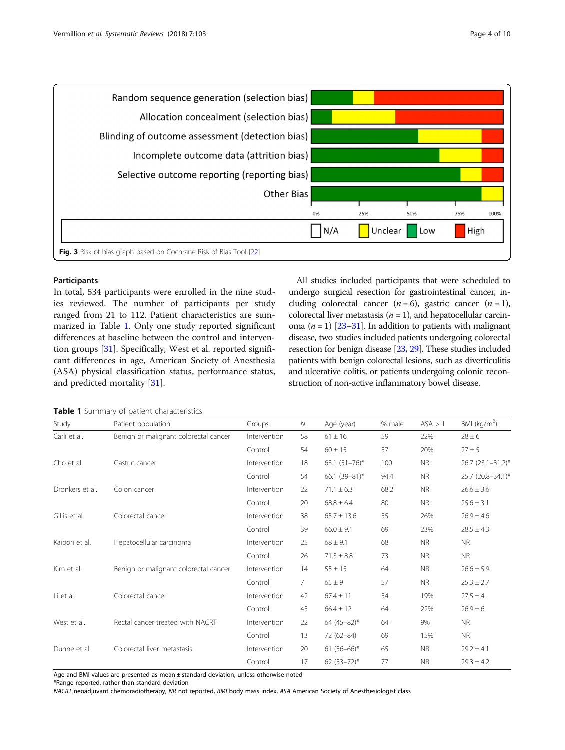<span id="page-3-0"></span>

# Participants

In total, 534 participants were enrolled in the nine studies reviewed. The number of participants per study ranged from 21 to 112. Patient characteristics are summarized in Table 1. Only one study reported significant differences at baseline between the control and intervention groups [[31\]](#page-9-0). Specifically, West et al. reported significant differences in age, American Society of Anesthesia (ASA) physical classification status, performance status, and predicted mortality [\[31](#page-9-0)].

All studies included participants that were scheduled to undergo surgical resection for gastrointestinal cancer, including colorectal cancer  $(n = 6)$ , gastric cancer  $(n = 1)$ , colorectal liver metastasis  $(n = 1)$ , and hepatocellular carcinoma ( $n = 1$ ) [\[23](#page-9-0)–[31\]](#page-9-0). In addition to patients with malignant disease, two studies included patients undergoing colorectal resection for benign disease [\[23,](#page-9-0) [29\]](#page-9-0). These studies included patients with benign colorectal lesions, such as diverticulitis and ulcerative colitis, or patients undergoing colonic reconstruction of non-active inflammatory bowel disease.

| Table 1 Summary of patient characteristics |  |
|--------------------------------------------|--|
|--------------------------------------------|--|

| Study           | Patient population                    | Groups       | N              | Age (year)         | % male | ASA > II  | BMI ( $kg/m2$ )     |
|-----------------|---------------------------------------|--------------|----------------|--------------------|--------|-----------|---------------------|
| Carli et al.    | Benign or malignant colorectal cancer | Intervention | 58             | $61 \pm 16$        | 59     | 22%       | $28 \pm 6$          |
|                 |                                       | Control      | 54             | $60 \pm 15$        | 57     | 20%       | $27 \pm 5$          |
| Cho et al.      | Gastric cancer                        | Intervention | 18             | $63.1 (51 - 76)^*$ | 100    | <b>NR</b> | $26.7$ (23.1-31.2)* |
|                 |                                       | Control      | 54             | 66.1 (39-81)*      | 94.4   | <b>NR</b> | 25.7 (20.8-34.1)*   |
| Dronkers et al. | Colon cancer                          | Intervention | 22             | $71.1 \pm 6.3$     | 68.2   | <b>NR</b> | $26.6 \pm 3.6$      |
|                 |                                       | Control      | 20             | $68.8 \pm 6.4$     | 80     | <b>NR</b> | $25.6 \pm 3.1$      |
| Gillis et al.   | Colorectal cancer                     | Intervention | 38             | $65.7 \pm 13.6$    | 55     | 26%       | $26.9 \pm 4.6$      |
|                 |                                       | Control      | 39             | $66.0 \pm 9.1$     | 69     | 23%       | $28.5 \pm 4.3$      |
| Kaibori et al.  | Hepatocellular carcinoma              | Intervention | 25             | $68 \pm 9.1$       | 68     | <b>NR</b> | <b>NR</b>           |
|                 |                                       | Control      | 26             | $71.3 \pm 8.8$     | 73     | <b>NR</b> | <b>NR</b>           |
| Kim et al.      | Benign or malignant colorectal cancer | Intervention | 14             | $55 \pm 15$        | 64     | <b>NR</b> | $26.6 \pm 5.9$      |
|                 |                                       | Control      | $\overline{7}$ | $65 \pm 9$         | 57     | <b>NR</b> | $25.3 \pm 2.7$      |
| Li et al.       | Colorectal cancer                     | Intervention | 42             | $67.4 \pm 11$      | 54     | 19%       | $27.5 \pm 4$        |
|                 |                                       | Control      | 45             | $66.4 \pm 12$      | 64     | 22%       | $26.9 \pm 6$        |
| West et al.     | Rectal cancer treated with NACRT      | Intervention | 22             | $64(45-82)$ *      | 64     | 9%        | <b>NR</b>           |
|                 |                                       | Control      | 13             | $72(62 - 84)$      | 69     | 15%       | <b>NR</b>           |
| Dunne et al.    | Colorectal liver metastasis           | Intervention | 20             | 61 $(56-66)^*$     | 65     | <b>NR</b> | $29.2 \pm 4.1$      |
|                 |                                       | Control      | 17             | $62(53-72)$ *      | 77     | <b>NR</b> | $29.3 \pm 4.2$      |

Age and BMI values are presented as mean ± standard deviation, unless otherwise noted

\*Range reported, rather than standard deviation

NACRT neoadjuvant chemoradiotherapy, NR not reported, BMI body mass index, ASA American Society of Anesthesiologist class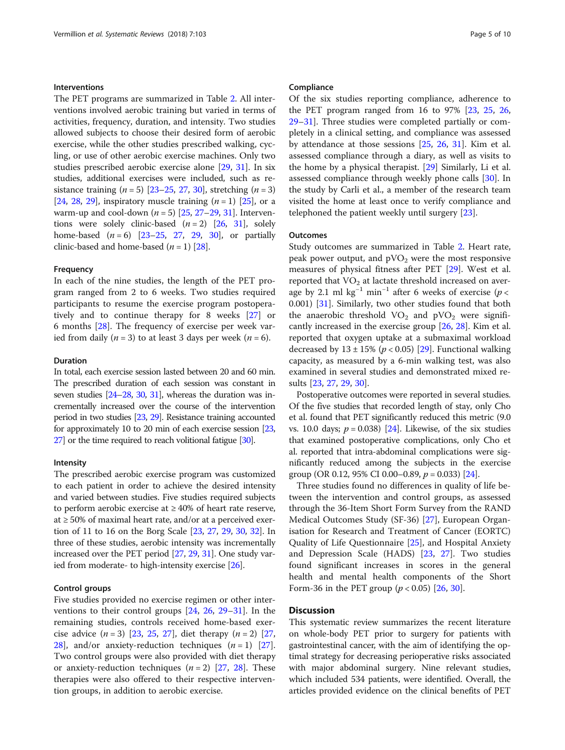# Interventions

The PET programs are summarized in Table [2.](#page-5-0) All interventions involved aerobic training but varied in terms of activities, frequency, duration, and intensity. Two studies allowed subjects to choose their desired form of aerobic exercise, while the other studies prescribed walking, cycling, or use of other aerobic exercise machines. Only two studies prescribed aerobic exercise alone [\[29,](#page-9-0) [31\]](#page-9-0). In six studies, additional exercises were included, such as resistance training  $(n = 5)$  [\[23](#page-9-0)–[25](#page-9-0), [27](#page-9-0), [30](#page-9-0)], stretching  $(n = 3)$ [[24](#page-9-0), [28,](#page-9-0) [29](#page-9-0)], inspiratory muscle training  $(n = 1)$  [\[25\]](#page-9-0), or a warm-up and cool-down  $(n = 5)$  [[25,](#page-9-0) [27](#page-9-0)–[29,](#page-9-0) [31](#page-9-0)]. Interventions were solely clinic-based  $(n = 2)$  [\[26,](#page-9-0) [31](#page-9-0)], solely home-based  $(n = 6)$  [[23](#page-9-0)–[25,](#page-9-0) [27,](#page-9-0) [29](#page-9-0), [30](#page-9-0)], or partially clinic-based and home-based  $(n = 1)$  [[28](#page-9-0)].

#### Frequency

In each of the nine studies, the length of the PET program ranged from 2 to 6 weeks. Two studies required participants to resume the exercise program postoperatively and to continue therapy for 8 weeks [\[27](#page-9-0)] or 6 months [\[28\]](#page-9-0). The frequency of exercise per week varied from daily ( $n = 3$ ) to at least 3 days per week ( $n = 6$ ).

#### Duration

In total, each exercise session lasted between 20 and 60 min. The prescribed duration of each session was constant in seven studies [\[24](#page-9-0)–[28](#page-9-0), [30,](#page-9-0) [31](#page-9-0)], whereas the duration was incrementally increased over the course of the intervention period in two studies [\[23](#page-9-0), [29\]](#page-9-0). Resistance training accounted for approximately 10 to 20 min of each exercise session [\[23](#page-9-0), [27\]](#page-9-0) or the time required to reach volitional fatigue [\[30](#page-9-0)].

#### Intensity

The prescribed aerobic exercise program was customized to each patient in order to achieve the desired intensity and varied between studies. Five studies required subjects to perform aerobic exercise at  $\geq 40\%$  of heart rate reserve, at  $\geq$  50% of maximal heart rate, and/or at a perceived exertion of 11 to 16 on the Borg Scale [[23](#page-9-0), [27](#page-9-0), [29](#page-9-0), [30](#page-9-0), [32](#page-9-0)]. In three of these studies, aerobic intensity was incrementally increased over the PET period [\[27,](#page-9-0) [29](#page-9-0), [31\]](#page-9-0). One study varied from moderate- to high-intensity exercise [\[26\]](#page-9-0).

# Control groups

Five studies provided no exercise regimen or other interventions to their control groups [\[24](#page-9-0), [26](#page-9-0), [29](#page-9-0)–[31\]](#page-9-0). In the remaining studies, controls received home-based exercise advice  $(n = 3)$  [\[23,](#page-9-0) [25](#page-9-0), [27](#page-9-0)], diet therapy  $(n = 2)$  [27, [28\]](#page-9-0), and/or anxiety-reduction techniques  $(n = 1)$  [\[27](#page-9-0)]. Two control groups were also provided with diet therapy or anxiety-reduction techniques  $(n = 2)$  [[27,](#page-9-0) [28](#page-9-0)]. These therapies were also offered to their respective intervention groups, in addition to aerobic exercise.

# Compliance

Of the six studies reporting compliance, adherence to the PET program ranged from 16 to 97% [\[23](#page-9-0), [25,](#page-9-0) [26](#page-9-0), [29](#page-9-0)–[31](#page-9-0)]. Three studies were completed partially or completely in a clinical setting, and compliance was assessed by attendance at those sessions [[25](#page-9-0), [26,](#page-9-0) [31\]](#page-9-0). Kim et al. assessed compliance through a diary, as well as visits to the home by a physical therapist. [[29\]](#page-9-0) Similarly, Li et al. assessed compliance through weekly phone calls [\[30](#page-9-0)]. In the study by Carli et al., a member of the research team visited the home at least once to verify compliance and telephoned the patient weekly until surgery [\[23](#page-9-0)].

## **Outcomes**

Study outcomes are summarized in Table [2.](#page-5-0) Heart rate, peak power output, and  $pVO<sub>2</sub>$  were the most responsive measures of physical fitness after PET [\[29](#page-9-0)]. West et al. reported that  $VO<sub>2</sub>$  at lactate threshold increased on average by 2.1 ml kg<sup>-1</sup> min<sup>-1</sup> after 6 weeks of exercise (p < 0.001) [\[31](#page-9-0)]. Similarly, two other studies found that both the anaerobic threshold  $VO<sub>2</sub>$  and  $pVO<sub>2</sub>$  were significantly increased in the exercise group [[26](#page-9-0), [28](#page-9-0)]. Kim et al. reported that oxygen uptake at a submaximal workload decreased by  $13 \pm 15\%$  ( $p < 0.05$ ) [[29\]](#page-9-0). Functional walking capacity, as measured by a 6-min walking test, was also examined in several studies and demonstrated mixed results [[23](#page-9-0), [27](#page-9-0), [29](#page-9-0), [30](#page-9-0)].

Postoperative outcomes were reported in several studies. Of the five studies that recorded length of stay, only Cho et al. found that PET significantly reduced this metric (9.0 vs. 10.0 days;  $p = 0.038$  [[24](#page-9-0)]. Likewise, of the six studies that examined postoperative complications, only Cho et al. reported that intra-abdominal complications were significantly reduced among the subjects in the exercise group (OR 0.12, 95% CI 0.00–0.89,  $p = 0.033$ ) [\[24\]](#page-9-0).

Three studies found no differences in quality of life between the intervention and control groups, as assessed through the 36-Item Short Form Survey from the RAND Medical Outcomes Study (SF-36) [\[27](#page-9-0)], European Organisation for Research and Treatment of Cancer (EORTC) Quality of Life Questionnaire [\[25](#page-9-0)], and Hospital Anxiety and Depression Scale (HADS) [[23](#page-9-0), [27](#page-9-0)]. Two studies found significant increases in scores in the general health and mental health components of the Short Form-36 in the PET group  $(p < 0.05)$  [\[26](#page-9-0), [30\]](#page-9-0).

# **Discussion**

This systematic review summarizes the recent literature on whole-body PET prior to surgery for patients with gastrointestinal cancer, with the aim of identifying the optimal strategy for decreasing perioperative risks associated with major abdominal surgery. Nine relevant studies, which included 534 patients, were identified. Overall, the articles provided evidence on the clinical benefits of PET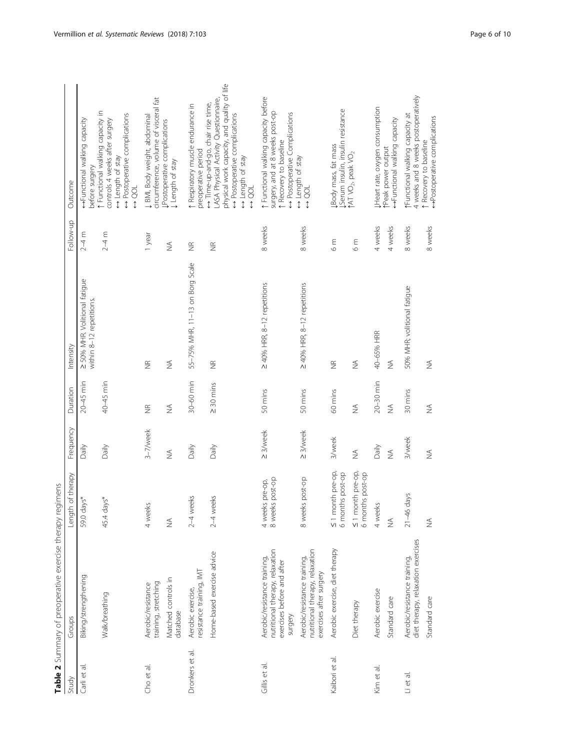<span id="page-5-0"></span>

|                 | Table 2 Summary of preoperative exercise therapy re                                                      | gimens                               |               |                              |                                                          |                              |                                                                                                                                                                                                   |
|-----------------|----------------------------------------------------------------------------------------------------------|--------------------------------------|---------------|------------------------------|----------------------------------------------------------|------------------------------|---------------------------------------------------------------------------------------------------------------------------------------------------------------------------------------------------|
| Study           | Groups                                                                                                   | Length of therapy                    | Frequency     | Duration                     | Intensity                                                | Follow-up                    | Outcome                                                                                                                                                                                           |
| Carli et al     | Biking/strengthening                                                                                     | 59.0 days*                           | Daily         | $20 - 45$ min                | 250% MHR. Volitional fatigue<br>within 8-12 repetitions. | $2 - 4$ m                    | ←Functional walking capacity<br>before surgery                                                                                                                                                    |
|                 | Walk/breathing                                                                                           | 45.4 days*                           | Daily         | 40-45 min                    |                                                          | $2-4$ m                      | f Functional walking capacity in<br>← Postoperative complications<br>controls 4 weeks after surgery<br>← Length of stay<br>$\leftrightarrow$ QOL                                                  |
| Cho et al.      | training, stretching<br>Aerobic/resistance                                                               | 4 weeks                              | 3-7/week      | $\frac{\alpha}{2}$           | $\frac{\alpha}{2}$                                       | 1 year                       | circumference, volume of visceral fat<br>↓ BMI, Body weight, abdominal                                                                                                                            |
|                 | Matched controls in<br>database                                                                          | $\frac{1}{2}$                        | $\lessgtr$    | $\stackrel{\triangle}{\geq}$ | $\stackrel{\triangle}{\geq}$                             | $\stackrel{\triangle}{\geq}$ | JPostoperative complications<br><b>Length of stay</b>                                                                                                                                             |
| Dronkers et al. | resistance training, IMT<br>Aerobic exercise,                                                            | reeks<br>$2-4$ we                    | Daily         | 30-60 min                    | 55-75% MHR, 11-13 on Borg Scale                          | $\widetilde{\Xi}$            | 1 Respiratory muscle endurance in<br>preoperative period                                                                                                                                          |
|                 | Home-based exercise advice                                                                               | 2-4 weeks                            | Daily         | $\geq 30$ mins               | $\frac{\alpha}{2}$                                       | $\frac{\alpha}{2}$           | physical work capacity, and quality of life<br>LASA Physical Activity Questionnaire,<br>→ Time-up-and-go, chair rise time,<br>← Postoperative complications<br>← Length of stay<br>$\overline{O}$ |
| Gillis et al.   | nutritional therapy, relaxation<br>Aerobic/resistance training,<br>exercises before and after<br>surgery | 8 weeks post-op<br>4 weeks pre-op,   | 23/week       | 50 mins                      | 240% HRR, 8-12 repetitions                               | 8 weeks                      | 1 Functional walking capacity before<br>surgery, and at 8 weeks post-op<br>← Postoperative Complications<br>f Recovery to baseline                                                                |
|                 | nutritional therapy, relaxation<br>Aerobic/resistance training,<br>exercises after surgery               | 8 weeks post-op                      | 23/week       | 50 mins                      | 240% HRR, 8-12 repetitions                               | 8 weeks                      | ← Length of stay<br>$\leftrightarrow$ QOL                                                                                                                                                         |
| Kaibori et al.  | Aerobic exercise, diet therapy                                                                           | ≤1 month pre-op,<br>6 months post-op | 3/week        | 60 mins                      | $\frac{\alpha}{2}$                                       | $6 \text{ m}$                | "Serum insulin, insulin resistance<br>Body mass, fat mass                                                                                                                                         |
|                 | Diet therapy                                                                                             | ≤1 month pre-op,<br>6 months post-op | $\lessgtr$    | $\stackrel{\triangle}{\geq}$ | $\stackrel{\triangle}{\geq}$                             | $\frac{E}{6}$                | $\uparrow$ AT VO <sub>2</sub> , peak VO <sub>2</sub>                                                                                                                                              |
| Kim et al.      | Aerobic exercise                                                                                         | 4 weeks                              | Daily         | $20-30$ min                  | 40-65% HRR                                               | 4 weeks                      | Heart rate, oxygen consumption                                                                                                                                                                    |
|                 | Standard care                                                                                            | $\frac{4}{2}$                        | $\frac{1}{2}$ | $\stackrel{\triangle}{\geq}$ | $\stackrel{\triangle}{\geq}$                             | 4 weeks                      | ←Functional walking capacity<br>tPeak power output                                                                                                                                                |
| Li et al.       | diet therapy, relaxation exercises<br>Aerobic/resistance training,                                       | days<br>$21 - 46$                    | 3/week        | 30 mins                      | 50% MHR; volitional fatigue                              | 8 weeks                      | 4 weeks and 8 weeks postoperatively<br>fFunctional walking capacity at                                                                                                                            |
|                 | Standard care                                                                                            | $\frac{4}{2}$                        | $\frac{1}{2}$ | $\lessapprox$                | $\lessapprox$                                            | 8 weeks                      | ←Postoperative complications<br>Recovery to baseline                                                                                                                                              |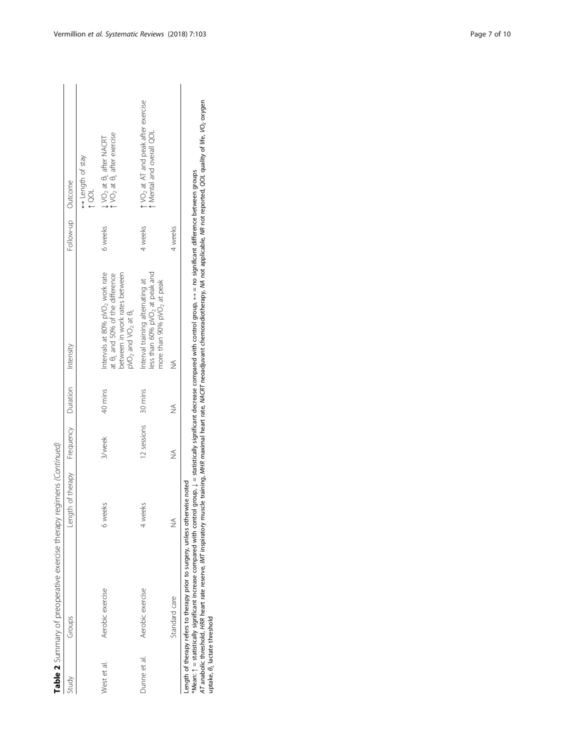Length of therapy refers to therapy prior to surgery, unless otherwise noted

\*Mean: ↑ = statistically significant increase compared with control group, ↓ = statistically significant decrease compared with control group, ↔ = no significant difference between groups

Length of therapy refers to therapy prior to surgery, unless otherwise noted<br>\*Mean: ↑ = statistically significant increase compared with control group, ↓ = statistically significant docrease compared with control group, ↔ AT anabolic threshold, HRR heart rate reserve, IMT inspiratory muscle training, MHR maximal heart rate, NACRT neoadjuvant chemoradiotherapy, NA not applicable, NR not reported, QOL quality of life, VO<sub>2</sub> oxygen uptake,  $θ_L$  lactate threshold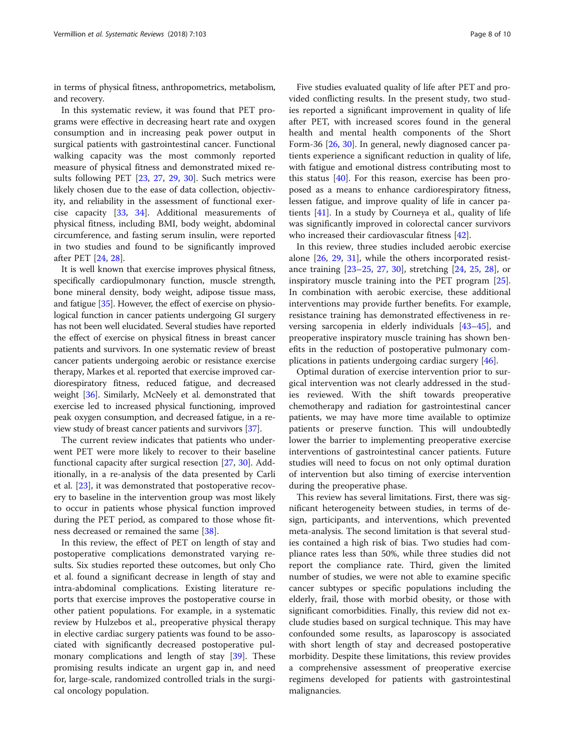in terms of physical fitness, anthropometrics, metabolism, and recovery.

In this systematic review, it was found that PET programs were effective in decreasing heart rate and oxygen consumption and in increasing peak power output in surgical patients with gastrointestinal cancer. Functional walking capacity was the most commonly reported measure of physical fitness and demonstrated mixed results following PET [[23,](#page-9-0) [27,](#page-9-0) [29,](#page-9-0) [30\]](#page-9-0). Such metrics were likely chosen due to the ease of data collection, objectivity, and reliability in the assessment of functional exercise capacity [\[33,](#page-9-0) [34](#page-9-0)]. Additional measurements of physical fitness, including BMI, body weight, abdominal circumference, and fasting serum insulin, were reported in two studies and found to be significantly improved after PET [[24,](#page-9-0) [28\]](#page-9-0).

It is well known that exercise improves physical fitness, specifically cardiopulmonary function, muscle strength, bone mineral density, body weight, adipose tissue mass, and fatigue [[35](#page-9-0)]. However, the effect of exercise on physiological function in cancer patients undergoing GI surgery has not been well elucidated. Several studies have reported the effect of exercise on physical fitness in breast cancer patients and survivors. In one systematic review of breast cancer patients undergoing aerobic or resistance exercise therapy, Markes et al. reported that exercise improved cardiorespiratory fitness, reduced fatigue, and decreased weight [\[36](#page-9-0)]. Similarly, McNeely et al. demonstrated that exercise led to increased physical functioning, improved peak oxygen consumption, and decreased fatigue, in a review study of breast cancer patients and survivors [\[37\]](#page-9-0).

The current review indicates that patients who underwent PET were more likely to recover to their baseline functional capacity after surgical resection [\[27](#page-9-0), [30](#page-9-0)]. Additionally, in a re-analysis of the data presented by Carli et al. [[23\]](#page-9-0), it was demonstrated that postoperative recovery to baseline in the intervention group was most likely to occur in patients whose physical function improved during the PET period, as compared to those whose fitness decreased or remained the same [[38](#page-9-0)].

In this review, the effect of PET on length of stay and postoperative complications demonstrated varying results. Six studies reported these outcomes, but only Cho et al. found a significant decrease in length of stay and intra-abdominal complications. Existing literature reports that exercise improves the postoperative course in other patient populations. For example, in a systematic review by Hulzebos et al., preoperative physical therapy in elective cardiac surgery patients was found to be associated with significantly decreased postoperative pulmonary complications and length of stay [[39](#page-9-0)]. These promising results indicate an urgent gap in, and need for, large-scale, randomized controlled trials in the surgical oncology population.

Five studies evaluated quality of life after PET and provided conflicting results. In the present study, two studies reported a significant improvement in quality of life after PET, with increased scores found in the general health and mental health components of the Short Form-36 [\[26](#page-9-0), [30\]](#page-9-0). In general, newly diagnosed cancer patients experience a significant reduction in quality of life, with fatigue and emotional distress contributing most to this status  $[40]$  $[40]$ . For this reason, exercise has been proposed as a means to enhance cardiorespiratory fitness, lessen fatigue, and improve quality of life in cancer patients [\[41](#page-9-0)]. In a study by Courneya et al., quality of life was significantly improved in colorectal cancer survivors who increased their cardiovascular fitness [[42\]](#page-9-0).

In this review, three studies included aerobic exercise alone [[26,](#page-9-0) [29,](#page-9-0) [31\]](#page-9-0), while the others incorporated resistance training [[23](#page-9-0)–[25](#page-9-0), [27](#page-9-0), [30\]](#page-9-0), stretching [\[24](#page-9-0), [25](#page-9-0), [28\]](#page-9-0), or inspiratory muscle training into the PET program [\[25](#page-9-0)]. In combination with aerobic exercise, these additional interventions may provide further benefits. For example, resistance training has demonstrated effectiveness in reversing sarcopenia in elderly individuals [\[43](#page-9-0)–[45\]](#page-9-0), and preoperative inspiratory muscle training has shown benefits in the reduction of postoperative pulmonary complications in patients undergoing cardiac surgery [\[46](#page-9-0)].

Optimal duration of exercise intervention prior to surgical intervention was not clearly addressed in the studies reviewed. With the shift towards preoperative chemotherapy and radiation for gastrointestinal cancer patients, we may have more time available to optimize patients or preserve function. This will undoubtedly lower the barrier to implementing preoperative exercise interventions of gastrointestinal cancer patients. Future studies will need to focus on not only optimal duration of intervention but also timing of exercise intervention during the preoperative phase.

This review has several limitations. First, there was significant heterogeneity between studies, in terms of design, participants, and interventions, which prevented meta-analysis. The second limitation is that several studies contained a high risk of bias. Two studies had compliance rates less than 50%, while three studies did not report the compliance rate. Third, given the limited number of studies, we were not able to examine specific cancer subtypes or specific populations including the elderly, frail, those with morbid obesity, or those with significant comorbidities. Finally, this review did not exclude studies based on surgical technique. This may have confounded some results, as laparoscopy is associated with short length of stay and decreased postoperative morbidity. Despite these limitations, this review provides a comprehensive assessment of preoperative exercise regimens developed for patients with gastrointestinal malignancies.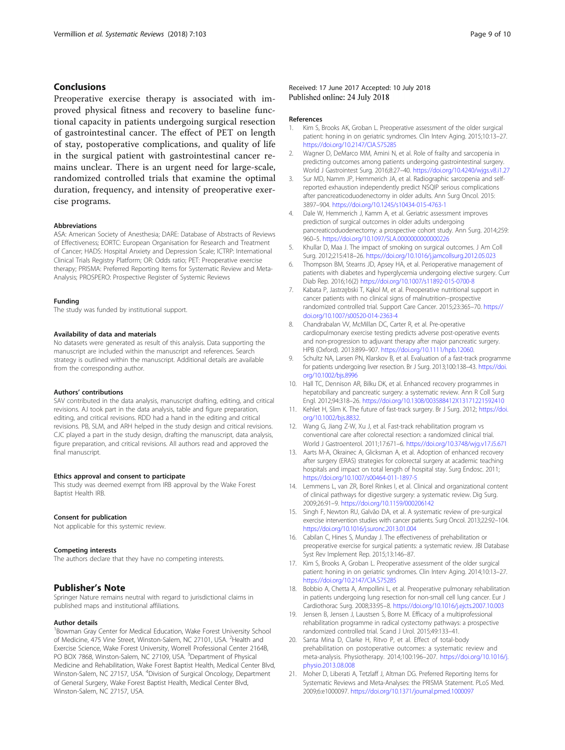# <span id="page-8-0"></span>**Conclusions**

Preoperative exercise therapy is associated with improved physical fitness and recovery to baseline functional capacity in patients undergoing surgical resection of gastrointestinal cancer. The effect of PET on length of stay, postoperative complications, and quality of life in the surgical patient with gastrointestinal cancer remains unclear. There is an urgent need for large-scale, randomized controlled trials that examine the optimal duration, frequency, and intensity of preoperative exercise programs.

#### Abbreviations

ASA: American Society of Anesthesia; DARE: Database of Abstracts of Reviews of Effectiveness; EORTC: European Organisation for Research and Treatment of Cancer; HADS: Hospital Anxiety and Depression Scale; ICTRP: International Clinical Trials Registry Platform; OR: Odds ratio; PET: Preoperative exercise therapy; PRISMA: Preferred Reporting Items for Systematic Review and Meta-Analysis; PROSPERO: Prospective Register of Systemic Reviews

#### Funding

The study was funded by institutional support.

#### Availability of data and materials

No datasets were generated as result of this analysis. Data supporting the manuscript are included within the manuscript and references. Search strategy is outlined within the manuscript. Additional details are available from the corresponding author.

#### Authors' contributions

SAV contributed in the data analysis, manuscript drafting, editing, and critical revisions. AJ took part in the data analysis, table and figure preparation, editing, and critical revisions. RDD had a hand in the editing and critical revisions. PB, SLM, and ARH helped in the study design and critical revisions. CJC played a part in the study design, drafting the manuscript, data analysis, figure preparation, and critical revisions. All authors read and approved the final manuscript.

#### Ethics approval and consent to participate

This study was deemed exempt from IRB approval by the Wake Forest Baptist Health IRB.

#### Consent for publication

Not applicable for this systemic review.

#### Competing interests

The authors declare that they have no competing interests.

# Publisher's Note

Springer Nature remains neutral with regard to jurisdictional claims in published maps and institutional affiliations.

#### Author details

<sup>1</sup> Bowman Gray Center for Medical Education, Wake Forest University School of Medicine, 475 Vine Street, Winston-Salem, NC 27101, USA. <sup>2</sup>Health and Exercise Science, Wake Forest University, Worrell Professional Center 2164B, PO BOX 7868, Winston-Salem, NC 27109, USA. <sup>3</sup>Department of Physical Medicine and Rehabilitation, Wake Forest Baptist Health, Medical Center Blvd, Winston-Salem, NC 27157, USA. <sup>4</sup>Division of Surgical Oncology, Department of General Surgery, Wake Forest Baptist Health, Medical Center Blvd, Winston-Salem, NC 27157, USA.

#### Received: 17 June 2017 Accepted: 10 July 2018 Published online: 24 July 2018

#### References

- 1. Kim S, Brooks AK, Groban L. Preoperative assessment of the older surgical patient: honing in on geriatric syndromes. Clin Interv Aging. 2015;10:13–27. <https://doi.org/10.2147/CIA.S75285>
- 2. Wagner D, DeMarco MM, Amini N, et al. Role of frailty and sarcopenia in predicting outcomes among patients undergoing gastrointestinal surgery. World J Gastrointest Surg. 2016;8:27–40. <https://doi.org/10.4240/wjgs.v8.i1.27>
- 3. Sur MD, Namm JP, Hemmerich JA, et al. Radiographic sarcopenia and selfreported exhaustion independently predict NSQIP serious complications after pancreaticoduodenectomy in older adults. Ann Surg Oncol. 2015: 3897–904. <https://doi.org/10.1245/s10434-015-4763-1>
- 4. Dale W, Hemmerich J, Kamm A, et al. Geriatric assessment improves prediction of surgical outcomes in older adults undergoing pancreaticoduodenectomy: a prospective cohort study. Ann Surg. 2014;259: 960–5. <https://doi.org/10.1097/SLA.0000000000000226>
- 5. Khullar D, Maa J. The impact of smoking on surgical outcomes. J Am Coll Surg. 2012;215:418–26. <https://doi.org/10.1016/j.jamcollsurg.2012.05.023>
- Thompson BM, Stearns JD, Apsey HA, et al. Perioperative management of patients with diabetes and hyperglycemia undergoing elective surgery. Curr Diab Rep. 2016;16(2) <https://doi.org/10.1007/s11892-015-0700-8>
- 7. Kabata P, Jastrzębski T, Kąkol M, et al. Preoperative nutritional support in cancer patients with no clinical signs of malnutrition--prospective randomized controlled trial. Support Care Cancer. 2015;23:365–70. [https://](https://doi.org/10.1007/s00520-014-2363-4) [doi.org/10.1007/s00520-014-2363-4](https://doi.org/10.1007/s00520-014-2363-4)
- 8. Chandrabalan VV, McMillan DC, Carter R, et al. Pre-operative cardiopulmonary exercise testing predicts adverse post-operative events and non-progression to adjuvant therapy after major pancreatic surgery. HPB (Oxford). 2013:899–907. <https://doi.org/10.1111/hpb.12060>.
- 9. Schultz NA, Larsen PN, Klarskov B, et al. Evaluation of a fast-track programme for patients undergoing liver resection. Br J Surg. 2013;100:138–43. [https://doi.](https://doi.org/10.1002/bjs.8996) [org/10.1002/bjs.8996](https://doi.org/10.1002/bjs.8996)
- 10. Hall TC, Dennison AR, Bilku DK, et al. Enhanced recovery programmes in hepatobiliary and pancreatic surgery: a systematic review. Ann R Coll Surg Engl. 2012;94:318–26. <https://doi.org/10.1308/003588412X13171221592410>
- 11. Kehlet H, Slim K. The future of fast-track surgery. Br J Surg. 2012; [https://doi.](https://doi.org/10.1002/bjs.8832) [org/10.1002/bjs.8832.](https://doi.org/10.1002/bjs.8832)
- 12. Wang G, Jiang Z-W, Xu J, et al. Fast-track rehabilitation program vs conventional care after colorectal resection: a randomized clinical trial. World J Gastroenterol. 2011;17:671–6. <https://doi.org/10.3748/wjg.v17.i5.671>
- 13. Aarts M-A, Okrainec A, Glicksman A, et al. Adoption of enhanced recovery after surgery (ERAS) strategies for colorectal surgery at academic teaching hospitals and impact on total length of hospital stay. Surg Endosc. 2011; <https://doi.org/10.1007/s00464-011-1897-5>
- 14. Lemmens L, van ZR, Borel Rinkes I, et al. Clinical and organizational content of clinical pathways for digestive surgery: a systematic review. Dig Surg. 2009;26:91–9. <https://doi.org/10.1159/000206142>
- 15. Singh F, Newton RU, Galvão DA, et al. A systematic review of pre-surgical exercise intervention studies with cancer patients. Surg Oncol. 2013;22:92–104. <https://doi.org/10.1016/j.suronc.2013.01.004>
- 16. Cabilan C, Hines S, Munday J. The effectiveness of prehabilitation or preoperative exercise for surgical patients: a systematic review. JBI Database Syst Rev Implement Rep. 2015;13:146–87.
- 17. Kim S, Brooks A, Groban L. Preoperative assessment of the older surgical patient: honing in on geriatric syndromes. Clin Interv Aging. 2014;10:13–27. <https://doi.org/10.2147/CIA.S75285>
- 18. Bobbio A, Chetta A, Ampollini L, et al. Preoperative pulmonary rehabilitation in patients undergoing lung resection for non-small cell lung cancer. Eur J Cardiothorac Surg. 2008;33:95–8. <https://doi.org/10.1016/j.ejcts.2007.10.003>
- 19. Jensen B, Jensen J, Laustsen S, Borre M. Efficacy of a multiprofessional rehabilitation programme in radical cystectomy pathways: a prospective randomized controlled trial. Scand J Urol. 2015;49:133–41.
- 20. Santa Mina D, Clarke H, Ritvo P, et al. Effect of total-body prehabilitation on postoperative outcomes: a systematic review and meta-analysis. Physiotherapy. 2014;100:196–207. [https://doi.org/10.1016/j.](https://doi.org/10.1016/j.physio.2013.08.008) [physio.2013.08.008](https://doi.org/10.1016/j.physio.2013.08.008)
- 21. Moher D, Liberati A, Tetzlaff J, Altman DG. Preferred Reporting Items for Systematic Reviews and Meta-Analyses: the PRISMA Statement. PLoS Med. 2009;6:e1000097. <https://doi.org/10.1371/journal.pmed.1000097>